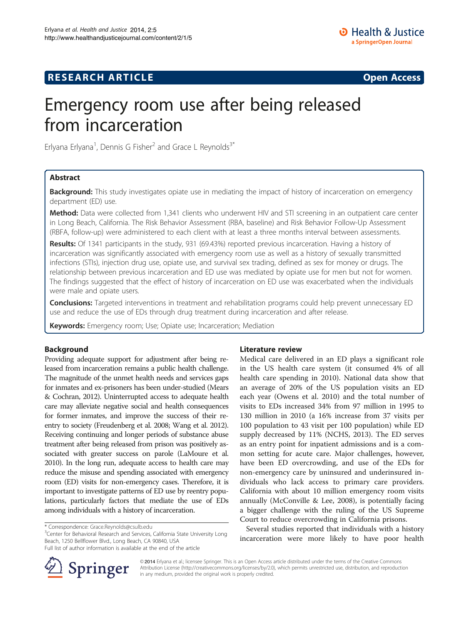# Emergency room use after being released from incarceration

Erlyana Erlyana<sup>1</sup>, Dennis G Fisher<sup>2</sup> and Grace L Reynolds<sup>3\*</sup>

# Abstract

**Background:** This study investigates opiate use in mediating the impact of history of incarceration on emergency department (ED) use.

Method: Data were collected from 1,341 clients who underwent HIV and STI screening in an outpatient care center in Long Beach, California. The Risk Behavior Assessment (RBA, baseline) and Risk Behavior Follow-Up Assessment (RBFA, follow-up) were administered to each client with at least a three months interval between assessments.

Results: Of 1341 participants in the study, 931 (69.43%) reported previous incarceration. Having a history of incarceration was significantly associated with emergency room use as well as a history of sexually transmitted infections (STIs), injection drug use, opiate use, and survival sex trading, defined as sex for money or drugs. The relationship between previous incarceration and ED use was mediated by opiate use for men but not for women. The findings suggested that the effect of history of incarceration on ED use was exacerbated when the individuals were male and opiate users.

Conclusions: Targeted interventions in treatment and rehabilitation programs could help prevent unnecessary ED use and reduce the use of EDs through drug treatment during incarceration and after release.

Keywords: Emergency room; Use; Opiate use; Incarceration; Mediation

## Background

Providing adequate support for adjustment after being released from incarceration remains a public health challenge. The magnitude of the unmet health needs and services gaps for inmates and ex-prisoners has been under-studied (Mears & Cochran, [2012\)](#page-6-0). Uninterrupted access to adequate health care may alleviate negative social and health consequences for former inmates, and improve the success of their reentry to society (Freudenberg et al. [2008](#page-5-0); Wang et al. [2012](#page-6-0)). Receiving continuing and longer periods of substance abuse treatment after being released from prison was positively associated with greater success on parole (LaMoure et al. [2010](#page-6-0)). In the long run, adequate access to health care may reduce the misuse and spending associated with emergency room (ED) visits for non-emergency cases. Therefore, it is important to investigate patterns of ED use by reentry populations, particularly factors that mediate the use of EDs among individuals with a history of incarceration.

<sup>3</sup> Center for Behavioral Research and Services, California State University Long Beach, 1250 Bellflower Blvd., Long Beach, CA 90840, USA



Medical care delivered in an ED plays a significant role in the US health care system (it consumed 4% of all health care spending in 2010). National data show that an average of 20% of the US population visits an ED each year (Owens et al. [2010](#page-6-0)) and the total number of visits to EDs increased 34% from 97 million in 1995 to 130 million in 2010 (a 16% increase from 37 visits per 100 population to 43 visit per 100 population) while ED supply decreased by 11% (NCHS, [2013](#page-6-0)). The ED serves as an entry point for inpatient admissions and is a common setting for acute care. Major challenges, however, have been ED overcrowding, and use of the EDs for non-emergency care by uninsured and underinsured individuals who lack access to primary care providers. California with about 10 million emergency room visits annually (McConville & Lee, [2008](#page-6-0)), is potentially facing a bigger challenge with the ruling of the US Supreme Court to reduce overcrowding in California prisons.

Several studies reported that individuals with a history incarceration were more likely to have poor health



© 2014 Erlyana et al.; licensee Springer. This is an Open Access article distributed under the terms of the Creative Commons Attribution License [\(http://creativecommons.org/licenses/by/2.0\)](http://creativecommons.org/licenses/by/2.0), which permits unrestricted use, distribution, and reproduction in any medium, provided the original work is properly credited.

<sup>\*</sup> Correspondence: [Grace.Reynolds@csulb.edu](mailto:Grace.Reynolds@csulb.edu) <sup>3</sup>

Full list of author information is available at the end of the article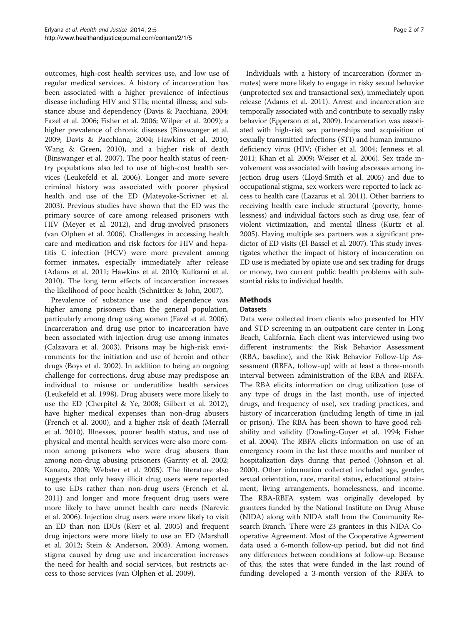outcomes, high-cost health services use, and low use of regular medical services. A history of incarceration has been associated with a higher prevalence of infectious disease including HIV and STIs; mental illness; and substance abuse and dependency (Davis & Pacchiana, [2004](#page-5-0); Fazel et al. [2006;](#page-5-0) Fisher et al. [2006;](#page-5-0) Wilper et al. [2009\)](#page-6-0); a higher prevalence of chronic diseases (Binswanger et al. [2009](#page-5-0); Davis & Pacchiana, [2004;](#page-5-0) Hawkins et al. [2010](#page-5-0); Wang & Green, [2010\)](#page-6-0), and a higher risk of death (Binswanger et al. [2007\)](#page-5-0). The poor health status of reentry populations also led to use of high-cost health services (Leukefeld et al. [2006](#page-6-0)). Longer and more severe criminal history was associated with poorer physical health and use of the ED (Mateyoke-Scrivner et al. [2003](#page-6-0)). Previous studies have shown that the ED was the primary source of care among released prisoners with HIV (Meyer et al. [2012](#page-6-0)), and drug-involved prisoners (van Olphen et al. [2006\)](#page-6-0). Challenges in accessing health care and medication and risk factors for HIV and hepatitis C infection (HCV) were more prevalent among former inmates, especially immediately after release (Adams et al. [2011;](#page-5-0) Hawkins et al. [2010;](#page-5-0) Kulkarni et al. [2010](#page-5-0)). The long term effects of incarceration increases the likelihood of poor health (Schnittker & John, [2007\)](#page-6-0).

Prevalence of substance use and dependence was higher among prisoners than the general population, particularly among drug using women (Fazel et al. [2006](#page-5-0)). Incarceration and drug use prior to incarceration have been associated with injection drug use among inmates (Calzavara et al. [2003](#page-5-0)). Prisons may be high-risk environments for the initiation and use of heroin and other drugs (Boys et al. [2002\)](#page-5-0). In addition to being an ongoing challenge for corrections, drug abuse may predispose an individual to misuse or underutilize health services (Leukefeld et al. [1998](#page-6-0)). Drug abusers were more likely to use the ED (Cherpitel & Ye, [2008](#page-5-0); Gilbert et al. [2012](#page-5-0)), have higher medical expenses than non-drug abusers (French et al. [2000](#page-5-0)), and a higher risk of death (Merrall et al. [2010](#page-6-0)). Illnesses, poorer health status, and use of physical and mental health services were also more common among prisoners who were drug abusers than among non-drug abusing prisoners (Garrity et al. [2002](#page-5-0); Kanato, [2008;](#page-5-0) Webster et al. [2005\)](#page-6-0). The literature also suggests that only heavy illicit drug users were reported to use EDs rather than non-drug users (French et al. [2011](#page-5-0)) and longer and more frequent drug users were more likely to have unmet health care needs (Narevic et al. [2006\)](#page-6-0). Injection drug users were more likely to visit an ED than non IDUs (Kerr et al. [2005\)](#page-5-0) and frequent drug injectors were more likely to use an ED (Marshall et al. [2012;](#page-6-0) Stein & Anderson, [2003](#page-6-0)). Among women, stigma caused by drug use and incarceration increases the need for health and social services, but restricts access to those services (van Olphen et al. [2009\)](#page-6-0).

Individuals with a history of incarceration (former inmates) were more likely to engage in risky sexual behavior (unprotected sex and transactional sex), immediately upon release (Adams et al. [2011\)](#page-5-0). Arrest and incarceration are temporally associated with and contribute to sexually risky behavior (Epperson et al., [2009](#page-5-0)). Incarceration was associated with high-risk sex partnerships and acquisition of sexually transmitted infections (STI) and human immunodeficiency virus (HIV; (Fisher et al. [2004;](#page-5-0) Jenness et al. [2011](#page-5-0); Khan et al. [2009](#page-5-0); Weiser et al. [2006](#page-6-0)). Sex trade involvement was associated with having abscesses among injection drug users (Lloyd-Smith et al. [2005\)](#page-6-0) and due to occupational stigma, sex workers were reported to lack access to health care (Lazarus et al. [2011\)](#page-6-0). Other barriers to receiving health care include structural (poverty, homelessness) and individual factors such as drug use, fear of violent victimization, and mental illness (Kurtz et al. [2005](#page-5-0)). Having multiple sex partners was a significant predictor of ED visits (El-Bassel et al. [2007](#page-5-0)). This study investigates whether the impact of history of incarceration on ED use is mediated by opiate use and sex trading for drugs or money, two current public health problems with substantial risks to individual health.

# **Methods**

## **Datasets**

Data were collected from clients who presented for HIV and STD screening in an outpatient care center in Long Beach, California. Each client was interviewed using two different instruments: the Risk Behavior Assessment (RBA, baseline), and the Risk Behavior Follow-Up Assessment (RBFA, follow-up) with at least a three-month interval between administration of the RBA and RBFA. The RBA elicits information on drug utilization (use of any type of drugs in the last month, use of injected drugs, and frequency of use), sex trading practices, and history of incarceration (including length of time in jail or prison). The RBA has been shown to have good reliability and validity (Dowling-Guyer et al. [1994;](#page-5-0) Fisher et al. [2004\)](#page-5-0). The RBFA elicits information on use of an emergency room in the last three months and number of hospitalization days during that period (Johnson et al. [2000](#page-5-0)). Other information collected included age, gender, sexual orientation, race, marital status, educational attainment, living arrangements, homelessness, and income. The RBA-RBFA system was originally developed by grantees funded by the National Institute on Drug Abuse (NIDA) along with NIDA staff from the Community Research Branch. There were 23 grantees in this NIDA Cooperative Agreement. Most of the Cooperative Agreement data used a 6-month follow-up period, but did not find any differences between conditions at follow-up. Because of this, the sites that were funded in the last round of funding developed a 3-month version of the RBFA to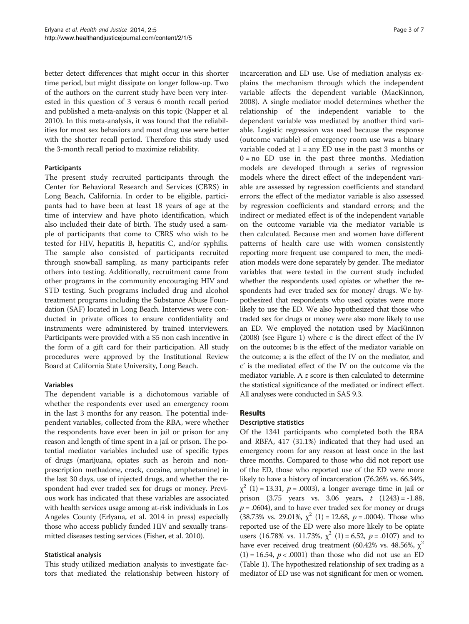better detect differences that might occur in this shorter time period, but might dissipate on longer follow-up. Two of the authors on the current study have been very interested in this question of 3 versus 6 month recall period and published a meta-analysis on this topic (Napper et al. [2010\)](#page-6-0). In this meta-analysis, it was found that the reliabilities for most sex behaviors and most drug use were better with the shorter recall period. Therefore this study used the 3-month recall period to maximize reliability.

### Participants

The present study recruited participants through the Center for Behavioral Research and Services (CBRS) in Long Beach, California. In order to be eligible, participants had to have been at least 18 years of age at the time of interview and have photo identification, which also included their date of birth. The study used a sample of participants that come to CBRS who wish to be tested for HIV, hepatitis B, hepatitis C, and/or syphilis. The sample also consisted of participants recruited through snowball sampling, as many participants refer others into testing. Additionally, recruitment came from other programs in the community encouraging HIV and STD testing. Such programs included drug and alcohol treatment programs including the Substance Abuse Foundation (SAF) located in Long Beach. Interviews were conducted in private offices to ensure confidentiality and instruments were administered by trained interviewers. Participants were provided with a \$5 non cash incentive in the form of a gift card for their participation. All study procedures were approved by the Institutional Review Board at California State University, Long Beach.

## Variables

The dependent variable is a dichotomous variable of whether the respondents ever used an emergency room in the last 3 months for any reason. The potential independent variables, collected from the RBA, were whether the respondents have ever been in jail or prison for any reason and length of time spent in a jail or prison. The potential mediator variables included use of specific types of drugs (marijuana, opiates such as heroin and nonprescription methadone, crack, cocaine, amphetamine) in the last 30 days, use of injected drugs, and whether the respondent had ever traded sex for drugs or money. Previous work has indicated that these variables are associated with health services usage among at-risk individuals in Los Angeles County (Erlyana, et al. [2014](#page-5-0) in press) especially those who access publicly funded HIV and sexually transmitted diseases testing services (Fisher, et al. [2010](#page-5-0)).

## Statistical analysis

This study utilized mediation analysis to investigate factors that mediated the relationship between history of incarceration and ED use. Use of mediation analysis explains the mechanism through which the independent variable affects the dependent variable (MacKinnon, [2008](#page-6-0)). A single mediator model determines whether the relationship of the independent variable to the dependent variable was mediated by another third variable. Logistic regression was used because the response (outcome variable) of emergency room use was a binary variable coded at  $1 = any ED$  use in the past 3 months or  $0 = no$  ED use in the past three months. Mediation models are developed through a series of regression models where the direct effect of the independent variable are assessed by regression coefficients and standard errors; the effect of the mediator variable is also assessed by regression coefficients and standard errors; and the indirect or mediated effect is of the independent variable on the outcome variable via the mediator variable is then calculated. Because men and women have different patterns of health care use with women consistently reporting more frequent use compared to men, the mediation models were done separately by gender. The mediator variables that were tested in the current study included whether the respondents used opiates or whether the respondents had ever traded sex for money/ drugs. We hypothesized that respondents who used opiates were more likely to use the ED. We also hypothesized that those who traded sex for drugs or money were also more likely to use an ED. We employed the notation used by MacKinnon ([2008\)](#page-6-0) (see Figure [1](#page-3-0)) where c is the direct effect of the IV on the outcome; b is the effect of the mediator variable on the outcome; a is the effect of the IV on the mediator, and c' is the mediated effect of the IV on the outcome via the mediator variable. A z score is then calculated to determine the statistical significance of the mediated or indirect effect. All analyses were conducted in SAS 9.3.

## Results

#### Descriptive statistics

Of the 1341 participants who completed both the RBA and RBFA, 417 (31.1%) indicated that they had used an emergency room for any reason at least once in the last three months. Compared to those who did not report use of the ED, those who reported use of the ED were more likely to have a history of incarceration (76.26% vs. 66.34%,  $\chi^2$  (1) = 13.31, p = .0003), a longer average time in jail or prison  $(3.75 \text{ years} \text{ vs. } 3.06 \text{ years}, t (1243) = -1.88,$  $p = .0604$ ), and to have ever traded sex for money or drugs (38.73% vs. 29.01%,  $\chi^2$  (1) = 12.68, p = .0004). Those who reported use of the ED were also more likely to be opiate users (16.78% vs. 11.73%,  $\chi^2$  (1) = 6.52,  $p = .0107$ ) and to have ever received drug treatment (60.42% vs. 48.56%,  $\chi^2$  $(1) = 16.54$ ,  $p < .0001$ ) than those who did not use an ED (Table [1\)](#page-4-0). The hypothesized relationship of sex trading as a mediator of ED use was not significant for men or women.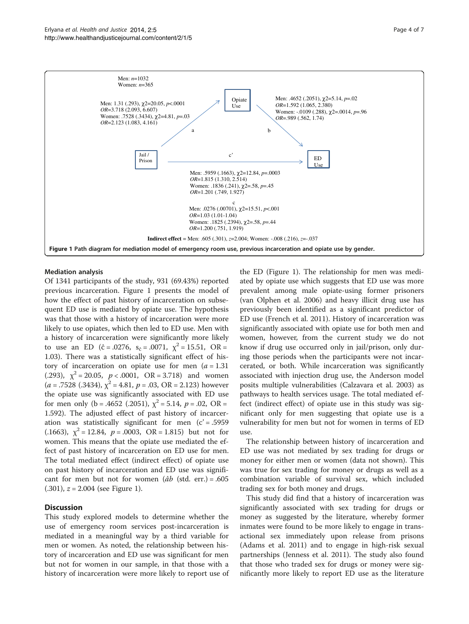<span id="page-3-0"></span>

#### Mediation analysis

Of 1341 participants of the study, 931 (69.43%) reported previous incarceration. Figure 1 presents the model of how the effect of past history of incarceration on subsequent ED use is mediated by opiate use. The hypothesis was that those with a history of incarceration were more likely to use opiates, which then led to ED use. Men with a history of incarceration were significantly more likely to use an ED ( $\hat{c} = .0276$ ,  $s_{\hat{c}} = .0071$ ,  $\chi^2 = 15.51$ , OR = 1.03). There was a statistically significant effect of history of incarceration on opiate use for men  $(a = 1.31)$ (.293),  $\chi^2 = 20.05$ ,  $p < .0001$ ,  $OR = 3.718$ ) and women  $(a = .7528 (.3434), \chi^2 = 4.81, p = .03, OR = 2.123)$  however the opiate use was significantly associated with ED use for men only (b = .4652 (.2051),  $\chi^2$  = 5.14,  $p = .02$ , OR = 1.592). The adjusted effect of past history of incarceration was statistically significant for men  $(c' = .5959$ (.1663),  $\chi^2 = 12.84$ ,  $p = .0003$ , OR = 1.815) but not for women. This means that the opiate use mediated the effect of past history of incarceration on ED use for men. The total mediated effect (indirect effect) of opiate use on past history of incarceration and ED use was significant for men but not for women ( $\hat{a}b$  (std. err.) = .605  $(.301)$ ,  $z = 2.004$  (see Figure 1).

## **Discussion**

This study explored models to determine whether the use of emergency room services post-incarceration is mediated in a meaningful way by a third variable for men or women. As noted, the relationship between history of incarceration and ED use was significant for men but not for women in our sample, in that those with a history of incarceration were more likely to report use of the ED (Figure 1). The relationship for men was mediated by opiate use which suggests that ED use was more prevalent among male opiate-using former prisoners (van Olphen et al. [2006\)](#page-6-0) and heavy illicit drug use has previously been identified as a significant predictor of ED use (French et al. [2011](#page-5-0)). History of incarceration was significantly associated with opiate use for both men and women, however, from the current study we do not know if drug use occurred only in jail/prison, only during those periods when the participants were not incarcerated, or both. While incarceration was significantly associated with injection drug use, the Anderson model posits multiple vulnerabilities (Calzavara et al. [2003\)](#page-5-0) as pathways to health services usage. The total mediated effect (indirect effect) of opiate use in this study was significant only for men suggesting that opiate use is a vulnerability for men but not for women in terms of ED use.

The relationship between history of incarceration and ED use was not mediated by sex trading for drugs or money for either men or women (data not shown). This was true for sex trading for money or drugs as well as a combination variable of survival sex, which included trading sex for both money and drugs.

This study did find that a history of incarceration was significantly associated with sex trading for drugs or money as suggested by the literature, whereby former inmates were found to be more likely to engage in transactional sex immediately upon release from prisons (Adams et al. [2011\)](#page-5-0) and to engage in high-risk sexual partnerships (Jenness et al. [2011\)](#page-5-0). The study also found that those who traded sex for drugs or money were significantly more likely to report ED use as the literature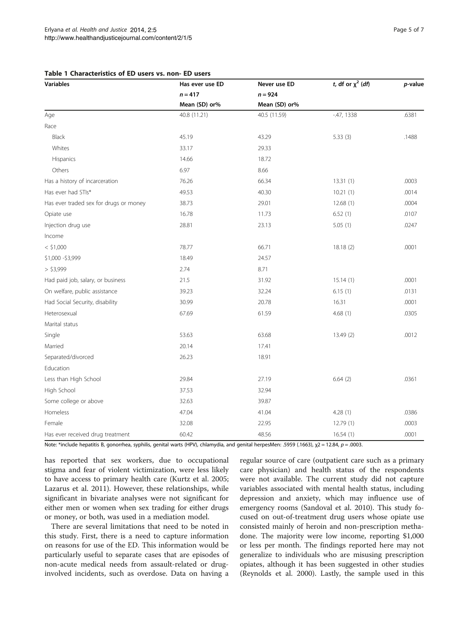| <b>Variables</b>                       | Has ever use ED<br>$n = 417$<br>Mean (SD) or% | Never use ED<br>$n = 924$<br>Mean (SD) or% | t, df or $\chi^2$ (df) | p-value |      |              |              |             |       |
|----------------------------------------|-----------------------------------------------|--------------------------------------------|------------------------|---------|------|--------------|--------------|-------------|-------|
|                                        |                                               |                                            |                        |         | Age  | 40.8 (11.21) | 40.5 (11.59) | $-47, 1338$ | .6381 |
|                                        |                                               |                                            |                        |         | Race |              |              |             |       |
| Black                                  | 45.19                                         | 43.29                                      | 5.33(3)                | .1488   |      |              |              |             |       |
| Whites                                 | 33.17                                         | 29.33                                      |                        |         |      |              |              |             |       |
| Hispanics                              | 14.66                                         | 18.72                                      |                        |         |      |              |              |             |       |
| Others                                 | 6.97                                          | 8.66                                       |                        |         |      |              |              |             |       |
| Has a history of incarceration         | 76.26                                         | 66.34                                      | 13.31(1)               | .0003   |      |              |              |             |       |
| Has ever had STIs*                     | 49.53                                         | 40.30                                      | 10.21(1)               | .0014   |      |              |              |             |       |
| Has ever traded sex for drugs or money | 38.73                                         | 29.01                                      | 12.68(1)               | .0004   |      |              |              |             |       |
| Opiate use                             | 16.78                                         | 11.73                                      | 6.52(1)                | .0107   |      |              |              |             |       |
| Injection drug use                     | 28.81                                         | 23.13                                      | 5.05(1)                | .0247   |      |              |              |             |       |
| Income                                 |                                               |                                            |                        |         |      |              |              |             |       |
| $<$ \$1,000                            | 78.77                                         | 66.71                                      | 18.18(2)               | .0001   |      |              |              |             |       |
| \$1,000 - \$3,999                      | 18.49                                         | 24.57                                      |                        |         |      |              |              |             |       |
| > \$3,999                              | 2.74                                          | 8.71                                       |                        |         |      |              |              |             |       |
| Had paid job, salary, or business      | 21.5                                          | 31.92                                      | 15.14(1)               | .0001   |      |              |              |             |       |
| On welfare, public assistance          | 39.23                                         | 32.24                                      | 6.15(1)                | .0131   |      |              |              |             |       |
| Had Social Security, disability        | 30.99                                         | 20.78                                      | 16.31                  | .0001   |      |              |              |             |       |
| Heterosexual                           | 67.69                                         | 61.59                                      | 4.68(1)                | .0305   |      |              |              |             |       |
| Marital status                         |                                               |                                            |                        |         |      |              |              |             |       |
| Single                                 | 53.63                                         | 63.68                                      | 13.49 (2)              | .0012   |      |              |              |             |       |
| Married                                | 20.14                                         | 17.41                                      |                        |         |      |              |              |             |       |
| Separated/divorced                     | 26.23                                         | 18.91                                      |                        |         |      |              |              |             |       |
| Education                              |                                               |                                            |                        |         |      |              |              |             |       |
| Less than High School                  | 29.84                                         | 27.19                                      | 6.64(2)                | .0361   |      |              |              |             |       |
| High School                            | 37.53                                         | 32.94                                      |                        |         |      |              |              |             |       |
| Some college or above                  | 32.63                                         | 39.87                                      |                        |         |      |              |              |             |       |
| Homeless                               | 47.04                                         | 41.04                                      | 4.28(1)                | .0386   |      |              |              |             |       |
| Female                                 | 32.08                                         | 22.95                                      | 12.79(1)               | .0003   |      |              |              |             |       |
| Has ever received drug treatment       | 60.42                                         | 48.56                                      | 16.54(1)               | .0001   |      |              |              |             |       |

## <span id="page-4-0"></span>Table 1 Characteristics of ED users vs. non- ED users

Note: \*include hepatitis B, gonorrhea, syphilis, genital warts (HPV), chlamydia, and genital herpesMen: .5959 (.1663), χ2 = 12.84, p = .0003.

has reported that sex workers, due to occupational stigma and fear of violent victimization, were less likely to have access to primary health care (Kurtz et al. [2005](#page-5-0); Lazarus et al. [2011\)](#page-6-0). However, these relationships, while significant in bivariate analyses were not significant for either men or women when sex trading for either drugs or money, or both, was used in a mediation model.

There are several limitations that need to be noted in this study. First, there is a need to capture information on reasons for use of the ED. This information would be particularly useful to separate cases that are episodes of non-acute medical needs from assault-related or druginvolved incidents, such as overdose. Data on having a

regular source of care (outpatient care such as a primary care physician) and health status of the respondents were not available. The current study did not capture variables associated with mental health status, including depression and anxiety, which may influence use of emergency rooms (Sandoval et al. [2010](#page-6-0)). This study focused on out-of-treatment drug users whose opiate use consisted mainly of heroin and non-prescription methadone. The majority were low income, reporting \$1,000 or less per month. The findings reported here may not generalize to individuals who are misusing prescription opiates, although it has been suggested in other studies (Reynolds et al. [2000\)](#page-6-0). Lastly, the sample used in this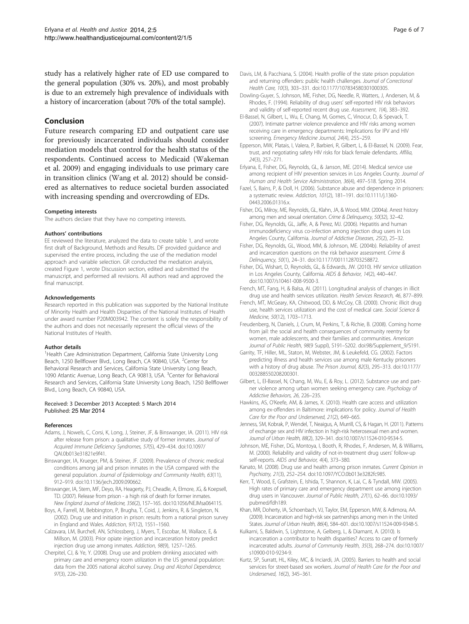<span id="page-5-0"></span>study has a relatively higher rate of ED use compared to the general population (30% vs. 20%), and most probably is due to an extremely high prevalence of individuals with a history of incarceration (about 70% of the total sample).

#### Conclusion

Future research comparing ED and outpatient care use for previously incarcerated individuals should consider mediation models that control for the health status of the respondents. Continued access to Medicaid (Wakeman et al. [2009](#page-6-0)) and engaging individuals to use primary care in transition clinics (Wang et al. [2012](#page-6-0)) should be considered as alternatives to reduce societal burden associated with increasing spending and overcrowding of EDs.

#### Competing interests

The authors declare that they have no competing interests.

#### Authors' contributions

EE reviewed the literature, analyzed the data to create table 1, and wrote first draft of Background, Methods and Results. DF provided guidance and supervised the entire process, including the use of the mediation model approach and variable selection. GR conducted the mediation analysis, created Figure [1,](#page-3-0) wrote Discussion section, edited and submitted the manuscript, and performed all revisions. All authors read and approved the final manuscript.

#### Acknowledgements

Research reported in this publication was supported by the National Institute of Minority Health and Health Disparities of the National Institutes of Health under award number P20M003942. The content is solely the responsibility of the authors and does not necessarily represent the official views of the National Institutes of Health.

#### Author details

<sup>1</sup> Health Care Administration Department, California State University Long Beach, 1250 Bellflower Blvd., Long Beach, CA 90840, USA. <sup>2</sup>Center for Behavioral Research and Services, California State University Long Beach, 1090 Atlantic Avenue, Long Beach, CA 90813, USA. <sup>3</sup>Center for Behavioral Research and Services, California State University Long Beach, 1250 Bellflower Blvd., Long Beach, CA 90840, USA.

#### Received: 3 December 2013 Accepted: 5 March 2014 Published: 25 Mar 2014

#### References

- Adams, J, Nowels, C, Corsi, K, Long, J, Steiner, JF, & Binswanger, IA. (2011). HIV risk after release from prison: a qualitative study of former inmates. Journal of Acquired Immune Deficiency Syndromes, 57(5), 429–434. doi:10.1097/ QAI.0b013e31821e9f41.
- Binswanger, IA, Krueger, PM, & Steiner, JF. (2009). Prevalence of chronic medical conditions among jail and prison inmates in the USA compared with the general population. Journal of Epidemiology and Community Health, 63(11), 912–919. doi:10.1136/jech.2009.090662.
- Binswanger, IA, Stern, MF, Deyo, RA, Heagerty, PJ, Cheadle, A, Elmore, JG, & Koepsell, TD. (2007). Release from prison - a high risk of death for former inmates. New England Journal of Medicine, 356(2), 157–165. doi[:10.1056/NEJMsa064115](SpringerLink:ChapterTarget).
- Boys, A, Farrell, M, Bebbington, P, Brugha, T, Coid, J, Jenkins, R, & Singleton, N. (2002). Drug use and initiation in prison: results from a national prison survey in England and Wales. Addiction, 97(12), 1551–1560.
- Calzavara, LM, Burchell, AN, Schlossberg, J, Myers, T, Escobar, M, Wallace, E, & Millson, M. (2003). Prior opiate injection and incarceration history predict injection drug use among inmates. Addiction, 98(9), 1257–1265.
- Cherpitel, CJ, & Ye, Y. (2008). Drug use and problem drinking associated with primary care and emergency room utilization in the US general population: data from the 2005 national alcohol survey. Drug and Alcohol Dependence, 97(3), 226–230.
- Davis, LM, & Pacchiana, S. (2004). Health profile of the state prison population and returning offenders: public health challenges. Journal of Correctional Health Care, 10(3), 303–331. doi:10.1177/107834580301000305.
- Dowling-Guyer, S, Johnson, ME, Fisher, DG, Needle, R, Watters, J, Andersen, M, & Rhodes, F. (1994). Reliability of drug users' self-reported HIV risk behaviors and validity of self-reported recent drug use. Assessment, 1(4), 383–392.
- El-Bassel, N, Gilbert, L, Wu, E, Chang, M, Gomes, C, Vinocur, D, & Spevack, T. (2007). Intimate partner violence prevalence and HIV risks among women receiving care in emergency departments: Implications for IPV and HIV screening. Emergency Medicine Journal, 24(4), 255–259.
- Epperson, MW, Platais, I, Valera, P, Barbieri, R, Gilbert, L, & El-Bassel, N. (2009). Fear, trust, and negotiating safety HIV risks for black female defendants. Affilia, 24(3), 257–271.
- Erlyana, E, Fisher, DG, Reynolds, GL, & Janson, ME. (2014). Medical service use among recipient of HIV prevention services in Los Angeles County. Journal of Human and Health Service Administration, 36(4), 497–518. Spring 2014.
- Fazel, S, Bains, P, & Doll, H. (2006). Substance abuse and dependence in prisoners: a systematic review. Addiction, 101(2), 181–191. doi:10.1111/j.1360- 0443.2006.01316.x.
- Fisher, DG, Milroy, ME, Reynolds, GL, Klahn, JA, & Wood, MM. (2004a). Arrest history among men and sexual orientation. Crime & Delinquency, 50(32), 32–42.
- Fisher, DG, Reynolds, GL, Jaffe, A, & Perez, MJ. (2006). Hepatitis and human immunodeficiency virus co-infection among injection drug users in Los Angeles County, California. Journal of Addictive Diseases, 25(2), 25–32.
- Fisher, DG, Reynolds, GL, Wood, MM, & Johnson, ME. (2004b). Reliability of arrest and incarceration questions on the risk behavior assessment. Crime & Delinquency, 50(1), 24–31. doi:10.1177/0011128703258872.
- Fisher, DG, Wishart, D, Reynolds, GL, & Edwards, JW. (2010). HIV service utilization in Los Angeles County, California. AIDS & Behavior, 14(2), 440–447. doi:10.1007/s10461-008-9500-3.
- French, MT, Fang, H, & Balsa, AI. (2011). Longitudinal analysis of changes in illicit drug use and health services utilization. Health Services Research, 46, 877–899.
- French, MT, McGeary, KA, Chitwood, DD, & McCoy, CB. (2000). Chronic illicit drug use, health services utilization and the cost of medical care. Social Science & Medicine, 50(12), 1703–1713.
- Freudenberg, N, Daniels, J, Crum, M, Perkins, T, & Richie, B. (2008). Coming home from jail: the social and health consequences of community reentry for women, male adolescents, and their families and communities. American Journal of Public Health, 98(9 Suppl), S191–S202. doi:98/Supplement\_9/S191.
- Garrity, TF, Hiller, ML, Staton, M, Webster, JM, & Leukefeld, CG. (2002). Factors predicting illness and health services use among male Kentucky prisoners with a history of drug abuse. The Prison Journal, 82(3), 295–313. doi:10.1177/ 003288550208200301.
- Gilbert, L, El-Bassel, N, Chang, M, Wu, E, & Roy, L. (2012). Substance use and partner violence among urban women seeking emergency care. Psychology of Addictive Behaviors, 26, 226–235.
- Hawkins, AS, O'Keefe, AM, & James, X. (2010). Health care access and utilization among ex-offenders in Baltimore: implications for policy. Journal of Health Care for the Poor and Underserved, 21(2), 649–665.
- Jenness, SM, Kobrak, P, Wendel, T, Neaigus, A, Murrill, CS, & Hagan, H. (2011). Patterns of exchange sex and HIV infection in high-risk heterosexual men and women. Journal of Urban Health, 88(2), 329–341. doi:10.1007/s11524-010-9534-5.
- Johnson, ME, Fisher, DG, Montoya, I, Booth, R, Rhodes, F, Andersen, M, & Williams, M. (2000). Reliability and validity of not-in-treatment drug users' follow-up self-reports. AIDS and Behavior, 4(4), 373–380.
- Kanato, M. (2008). Drug use and health among prison inmates. Current Opinion in Psychiatry, 21(3), 252–254. doi:10.1097/YCO.0b013e3282fc985.
- Kerr, T, Wood, E, Grafstein, E, Ishida, T, Shannon, K, Lai, C, & Tyndall, MW. (2005). High rates of primary care and emergency department use among injection drug users in Vancouver. Journal of Public Health, 27(1), 62–66. doi:10.1093/ pubmed/fdh189.
- Khan, MR, Doherty, IA, Schoenbach, VJ, Taylor, EM, Epperson, MW, & Adimora, AA. (2009). Incarceration and high-risk sex partnerships among men in the United States. Journal of Urban Health, 86(4), 584–601. doi:10.1007/s11524-009-9348-5.
- Kulkarni, S, Baldwin, S, Lightstone, A, Gelberg, L, & Diamant, A. (2010). Is incarceration a contributor to health disparities? Access to care of formerly incarcerated adults. Journal of Community Health, 35(3), 268–274. doi:10.1007/ s10900-010-9234-9.
- Kurtz, SP, Surratt, HL, Kiley, MC, & Inciardi, JA. (2005). Barriers to health and social services for street-based sex workers. Journal of Health Care for the Poor and Underserved, 16(2), 345–361.